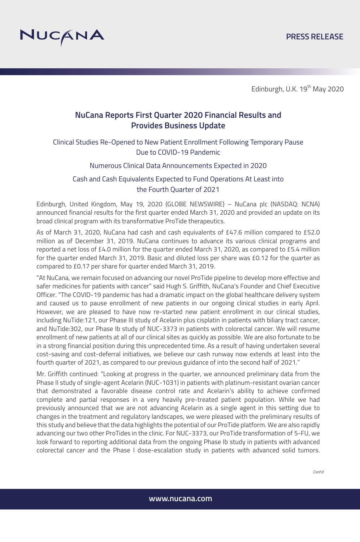

# **NuCana Reports First Quarter 2020 Financial Results and Provides Business Update**

Clinical Studies Re-Opened to New Patient Enrollment Following Temporary Pause Due to COVID-19 Pandemic

## Numerous Clinical Data Announcements Expected in 2020

# Cash and Cash Equivalents Expected to Fund Operations At Least into the Fourth Quarter of 2021

Edinburgh, United Kingdom, May 19, 2020 (GLOBE NEWSWIRE) – NuCana plc (NASDAQ: NCNA) announced financial results for the first quarter ended March 31, 2020 and provided an update on its broad clinical program with its transformative ProTide therapeutics.

As of March 31, 2020, NuCana had cash and cash equivalents of £47.6 million compared to £52.0 million as of December 31, 2019. NuCana continues to advance its various clinical programs and reported a net loss of £4.0 million for the quarter ended March 31, 2020, as compared to £5.4 million for the quarter ended March 31, 2019. Basic and diluted loss per share was £0.12 for the quarter as compared to £0.17 per share for quarter ended March 31, 2019.

"At NuCana, we remain focused on advancing our novel ProTide pipeline to develop more effective and safer medicines for patients with cancer" said Hugh S. Griffith, NuCana's Founder and Chief Executive Officer. "The COVID-19 pandemic has had a dramatic impact on the global healthcare delivery system and caused us to pause enrollment of new patients in our ongoing clinical studies in early April. However, we are pleased to have now re-started new patient enrollment in our clinical studies, including NuTide:121, our Phase III study of Acelarin plus cisplatin in patients with biliary tract cancer, and NuTide:302, our Phase Ib study of NUC-3373 in patients with colorectal cancer. We will resume enrollment of new patients at all of our clinical sites as quickly as possible. We are also fortunate to be in a strong financial position during this unprecedented time. As a result of having undertaken several cost-saving and cost-deferral initiatives, we believe our cash runway now extends at least into the fourth quarter of 2021, as compared to our previous guidance of into the second half of 2021."

Mr. Griffith continued: "Looking at progress in the quarter, we announced preliminary data from the Phase II study of single-agent Acelarin (NUC-1031) in patients with platinum-resistant ovarian cancer that demonstrated a favorable disease control rate and Acelarin's ability to achieve confirmed complete and partial responses in a very heavily pre-treated patient population. While we had previously announced that we are not advancing Acelarin as a single agent in this setting due to changes in the treatment and regulatory landscapes, we were pleased with the preliminary results of this study and believe that the data highlights the potential of our ProTide platform. We are also rapidly advancing our two other ProTides in the clinic. For NUC-3373, our ProTide transformation of 5-FU, we look forward to reporting additional data from the ongoing Phase Ib study in patients with advanced colorectal cancer and the Phase I dose-escalation study in patients with advanced solid tumors.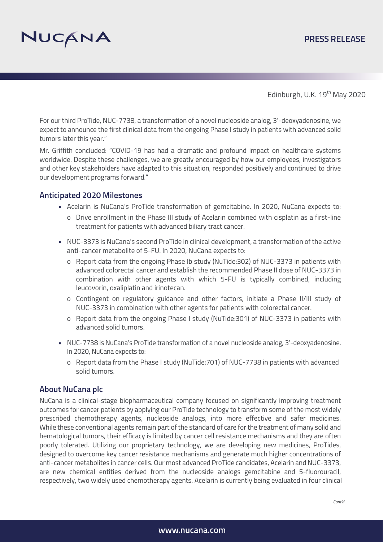

For our third ProTide, NUC-7738, a transformation of a novel nucleoside analog, 3'-deoxyadenosine, we expect to announce the first clinical data from the ongoing Phase I study in patients with advanced solid tumors later this year."

Mr. Griffith concluded: "COVID-19 has had a dramatic and profound impact on healthcare systems worldwide. Despite these challenges, we are greatly encouraged by how our employees, investigators and other key stakeholders have adapted to this situation, responded positively and continued to drive our development programs forward."

## **Anticipated 2020 Milestones**

- Acelarin is NuCana's ProTide transformation of gemcitabine. In 2020, NuCana expects to:
	- o Drive enrollment in the Phase III study of Acelarin combined with cisplatin as a first-line treatment for patients with advanced biliary tract cancer.
- NUC-3373 is NuCana's second ProTide in clinical development, a transformation of the active anti-cancer metabolite of 5-FU. In 2020, NuCana expects to:
	- o Report data from the ongoing Phase Ib study (NuTide:302) of NUC-3373 in patients with advanced colorectal cancer and establish the recommended Phase II dose of NUC-3373 in combination with other agents with which 5-FU is typically combined, including leucovorin, oxaliplatin and irinotecan.
	- o Contingent on regulatory guidance and other factors, initiate a Phase II/III study of NUC-3373 in combination with other agents for patients with colorectal cancer.
	- o Report data from the ongoing Phase I study (NuTide:301) of NUC-3373 in patients with advanced solid tumors.
- NUC-7738 is NuCana's ProTide transformation of a novel nucleoside analog, 3'-deoxyadenosine. In 2020, NuCana expects to:
	- o Report data from the Phase I study (NuTide:701) of NUC-7738 in patients with advanced solid tumors.

## **About NuCana plc**

NuCana is a clinical-stage biopharmaceutical company focused on significantly improving treatment outcomes for cancer patients by applying our ProTide technology to transform some of the most widely prescribed chemotherapy agents, nucleoside analogs, into more effective and safer medicines. While these conventional agents remain part of the standard of care for the treatment of many solid and hematological tumors, their efficacy is limited by cancer cell resistance mechanisms and they are often poorly tolerated. Utilizing our proprietary technology, we are developing new medicines, ProTides, designed to overcome key cancer resistance mechanisms and generate much higher concentrations of anti-cancer metabolites in cancer cells. Our most advanced ProTide candidates, Acelarin and NUC-3373, are new chemical entities derived from the nucleoside analogs gemcitabine and 5-fluorouracil, respectively, two widely used chemotherapy agents. Acelarin is currently being evaluated in four clinical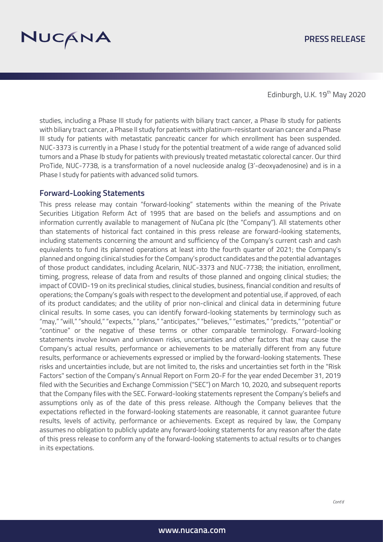

studies, including a Phase III study for patients with biliary tract cancer, a Phase Ib study for patients with biliary tract cancer, a Phase II study for patients with platinum-resistant ovarian cancer and a Phase III study for patients with metastatic pancreatic cancer for which enrollment has been suspended. NUC-3373 is currently in a Phase I study for the potential treatment of a wide range of advanced solid tumors and a Phase Ib study for patients with previously treated metastatic colorectal cancer. Our third ProTide, NUC-7738, is a transformation of a novel nucleoside analog (3'-deoxyadenosine) and is in a Phase I study for patients with advanced solid tumors.

## **Forward-Looking Statements**

This press release may contain "forward‐looking" statements within the meaning of the Private Securities Litigation Reform Act of 1995 that are based on the beliefs and assumptions and on information currently available to management of NuCana plc (the "Company"). All statements other than statements of historical fact contained in this press release are forward-looking statements, including statements concerning the amount and sufficiency of the Company's current cash and cash equivalents to fund its planned operations at least into the fourth quarter of 2021; the Company's planned and ongoing clinical studies for the Company's product candidates and the potential advantages of those product candidates, including Acelarin, NUC-3373 and NUC-7738; the initiation, enrollment, timing, progress, release of data from and results of those planned and ongoing clinical studies; the impact of COVID-19 on its preclinical studies, clinical studies, business, financial condition and results of operations; the Company's goals with respect to the development and potential use, if approved, of each of its product candidates; and the utility of prior non-clinical and clinical data in determining future clinical results. In some cases, you can identify forward-looking statements by terminology such as "may," "will," "should," "expects," "plans," "anticipates," "believes," "estimates," "predicts," "potential" or "continue" or the negative of these terms or other comparable terminology. Forward-looking statements involve known and unknown risks, uncertainties and other factors that may cause the Company's actual results, performance or achievements to be materially different from any future results, performance or achievements expressed or implied by the forward-looking statements. These risks and uncertainties include, but are not limited to, the risks and uncertainties set forth in the "Risk Factors" section of the Company's Annual Report on Form 20-F for the year ended December 31, 2019 filed with the Securities and Exchange Commission ("SEC") on March 10, 2020, and subsequent reports that the Company files with the SEC. Forward-looking statements represent the Company's beliefs and assumptions only as of the date of this press release. Although the Company believes that the expectations reflected in the forward-looking statements are reasonable, it cannot guarantee future results, levels of activity, performance or achievements. Except as required by law, the Company assumes no obligation to publicly update any forward‐looking statements for any reason after the date of this press release to conform any of the forward-looking statements to actual results or to changes in its expectations.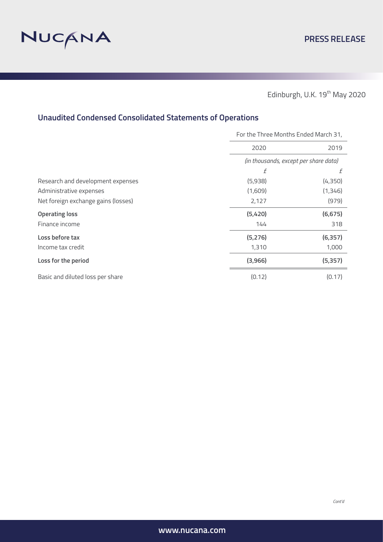

# **Unaudited Condensed Consolidated Statements of Operations**

|                                     | For the Three Months Ended March 31,  |          |
|-------------------------------------|---------------------------------------|----------|
|                                     | 2020                                  | 2019     |
|                                     | (in thousands, except per share data) |          |
|                                     | f                                     | f        |
| Research and development expenses   | (5,938)                               | (4,350)  |
| Administrative expenses             | (1,609)                               | (1, 346) |
| Net foreign exchange gains (losses) | 2,127                                 | (979)    |
| <b>Operating loss</b>               | (5,420)                               | (6, 675) |
| Finance income                      | 144                                   | 318      |
| Loss before tax                     | (5, 276)                              | (6, 357) |
| Income tax credit                   | 1,310                                 | 1,000    |
| Loss for the period                 | (3,966)                               | (5, 357) |
| Basic and diluted loss per share    | (0.12)                                | (0.17)   |

*Cont'd*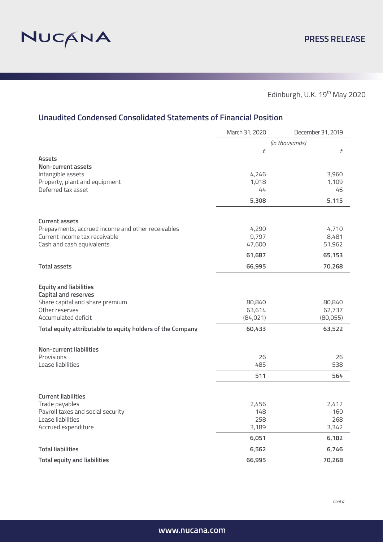

Edinburgh, U.K.  $19^{th}$  May 2020

# **Unaudited Condensed Consolidated Statements of Financial Position**

|                                                            | March 31, 2020 | December 31, 2019 |
|------------------------------------------------------------|----------------|-------------------|
|                                                            | (in thousands) |                   |
|                                                            | £              | $\boldsymbol{f}$  |
| <b>Assets</b>                                              |                |                   |
| <b>Non-current assets</b>                                  |                |                   |
| Intangible assets                                          | 4,246          | 3,960             |
| Property, plant and equipment<br>Deferred tax asset        | 1,018<br>44    | 1,109<br>46       |
|                                                            |                |                   |
|                                                            | 5,308          | 5,115             |
| <b>Current assets</b>                                      |                |                   |
| Prepayments, accrued income and other receivables          | 4,290          | 4,710             |
| Current income tax receivable                              | 9,797          | 8,481             |
| Cash and cash equivalents                                  | 47,600         | 51,962            |
|                                                            | 61,687         | 65,153            |
| <b>Total assets</b>                                        | 66,995         | 70,268            |
| <b>Equity and liabilities</b>                              |                |                   |
| <b>Capital and reserves</b>                                |                |                   |
| Share capital and share premium                            | 80,840         | 80,840            |
| Other reserves                                             | 63,614         | 62,737            |
| Accumulated deficit                                        | (84,021)       | (80,055)          |
| Total equity attributable to equity holders of the Company | 60,433         | 63,522            |
| <b>Non-current liabilities</b>                             |                |                   |
| Provisions                                                 | 26             | 26                |
| Lease liabilities                                          | 485            | 538               |
|                                                            | 511            | 564               |
|                                                            |                |                   |
| <b>Current liabilities</b>                                 |                |                   |
| Trade payables                                             | 2,456          | 2,412             |
| Payroll taxes and social security<br>Lease liabilities     | 148            | 160               |
| Accrued expenditure                                        | 258<br>3,189   | 268<br>3,342      |
|                                                            | 6,051          | 6,182             |
| <b>Total liabilities</b>                                   | 6,562          | 6,746             |
|                                                            |                |                   |
| <b>Total equity and liabilities</b>                        | 66,995         | 70,268            |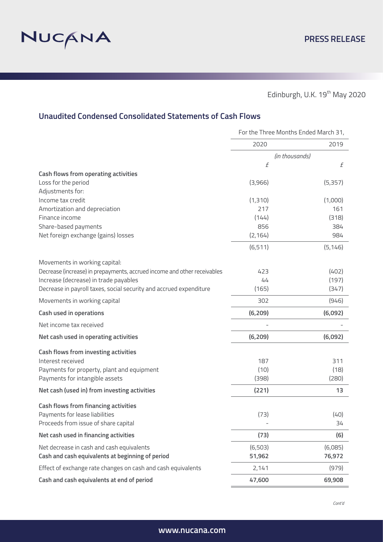

# **Unaudited Condensed Consolidated Statements of Cash Flows**

|                                                                          | For the Three Months Ended March 31, |          |
|--------------------------------------------------------------------------|--------------------------------------|----------|
|                                                                          | 2020                                 | 2019     |
|                                                                          | (in thousands)                       |          |
|                                                                          | $\sqrt{f}$                           | f        |
| Cash flows from operating activities                                     |                                      |          |
| Loss for the period                                                      | (3,966)                              | (5, 357) |
| Adjustments for:                                                         |                                      |          |
| Income tax credit                                                        | (1,310)                              | (1,000)  |
| Amortization and depreciation                                            | 217                                  | 161      |
| Finance income                                                           | (144)                                | (318)    |
| Share-based payments                                                     | 856                                  | 384      |
| Net foreign exchange (gains) losses                                      | (2, 164)                             | 984      |
|                                                                          | (6, 511)                             | (5, 146) |
| Movements in working capital:                                            |                                      |          |
| Decrease (increase) in prepayments, accrued income and other receivables | 423                                  | (402)    |
| Increase (decrease) in trade payables                                    | 44                                   | (197)    |
| Decrease in payroll taxes, social security and accrued expenditure       | (165)                                | (347)    |
| Movements in working capital                                             | 302                                  | (946)    |
| <b>Cash used in operations</b>                                           | (6, 209)                             | (6,092)  |
| Net income tax received                                                  |                                      |          |
| Net cash used in operating activities                                    | (6, 209)                             | (6,092)  |
| Cash flows from investing activities                                     |                                      |          |
| Interest received                                                        | 187                                  | 311      |
| Payments for property, plant and equipment                               | (10)                                 | (18)     |
| Payments for intangible assets                                           | (398)                                | (280)    |
| Net cash (used in) from investing activities                             | (221)                                | 13       |
| <b>Cash flows from financing activities</b>                              |                                      |          |
| Payments for lease liabilities                                           | (73)                                 | (40)     |
| Proceeds from issue of share capital                                     |                                      | 34       |
| Net cash used in financing activities                                    | (73)                                 | (6)      |
| Net decrease in cash and cash equivalents                                | (6,503)                              | (6,085)  |
| Cash and cash equivalents at beginning of period                         | 51,962                               | 76,972   |
| Effect of exchange rate changes on cash and cash equivalents             | 2,141                                | (979)    |
| Cash and cash equivalents at end of period                               | 47,600                               | 69,908   |